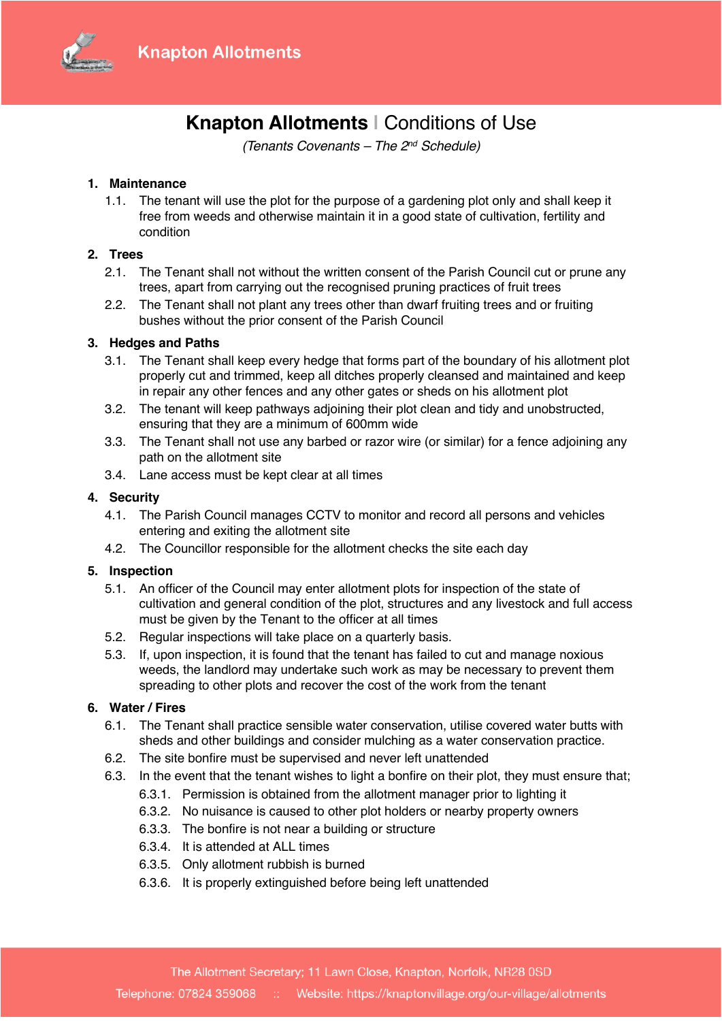

# **Knapton Allotments |** Conditions of Use

*(Tenants Covenants – The 2nd Schedule)*

# **1. Maintenance**

1.1. The tenant will use the plot for the purpose of a gardening plot only and shall keep it free from weeds and otherwise maintain it in a good state of cultivation, fertility and condition

# **2. Trees**

- 2.1. The Tenant shall not without the written consent of the Parish Council cut or prune any trees, apart from carrying out the recognised pruning practices of fruit trees
- 2.2. The Tenant shall not plant any trees other than dwarf fruiting trees and or fruiting bushes without the prior consent of the Parish Council

## **3. Hedges and Paths**

- 3.1. The Tenant shall keep every hedge that forms part of the boundary of his allotment plot properly cut and trimmed, keep all ditches properly cleansed and maintained and keep in repair any other fences and any other gates or sheds on his allotment plot
- 3.2. The tenant will keep pathways adjoining their plot clean and tidy and unobstructed, ensuring that they are a minimum of 600mm wide
- 3.3. The Tenant shall not use any barbed or razor wire (or similar) for a fence adjoining any path on the allotment site
- 3.4. Lane access must be kept clear at all times

## **4. Security**

- 4.1. The Parish Council manages CCTV to monitor and record all persons and vehicles entering and exiting the allotment site
- 4.2. The Councillor responsible for the allotment checks the site each day

#### **5. Inspection**

- 5.1. An officer of the Council may enter allotment plots for inspection of the state of cultivation and general condition of the plot, structures and any livestock and full access must be given by the Tenant to the officer at all times
- 5.2. Regular inspections will take place on a quarterly basis.
- 5.3. If, upon inspection, it is found that the tenant has failed to cut and manage noxious weeds, the landlord may undertake such work as may be necessary to prevent them spreading to other plots and recover the cost of the work from the tenant

#### **6. Water / Fires**

- 6.1. The Tenant shall practice sensible water conservation, utilise covered water butts with sheds and other buildings and consider mulching as a water conservation practice.
- 6.2. The site bonfire must be supervised and never left unattended
- 6.3. In the event that the tenant wishes to light a bonfire on their plot, they must ensure that;
	- 6.3.1. Permission is obtained from the allotment manager prior to lighting it
	- 6.3.2. No nuisance is caused to other plot holders or nearby property owners
	- 6.3.3. The bonfire is not near a building or structure
	- 6.3.4. It is attended at ALL times
	- 6.3.5. Only allotment rubbish is burned
	- 6.3.6. It is properly extinguished before being left unattended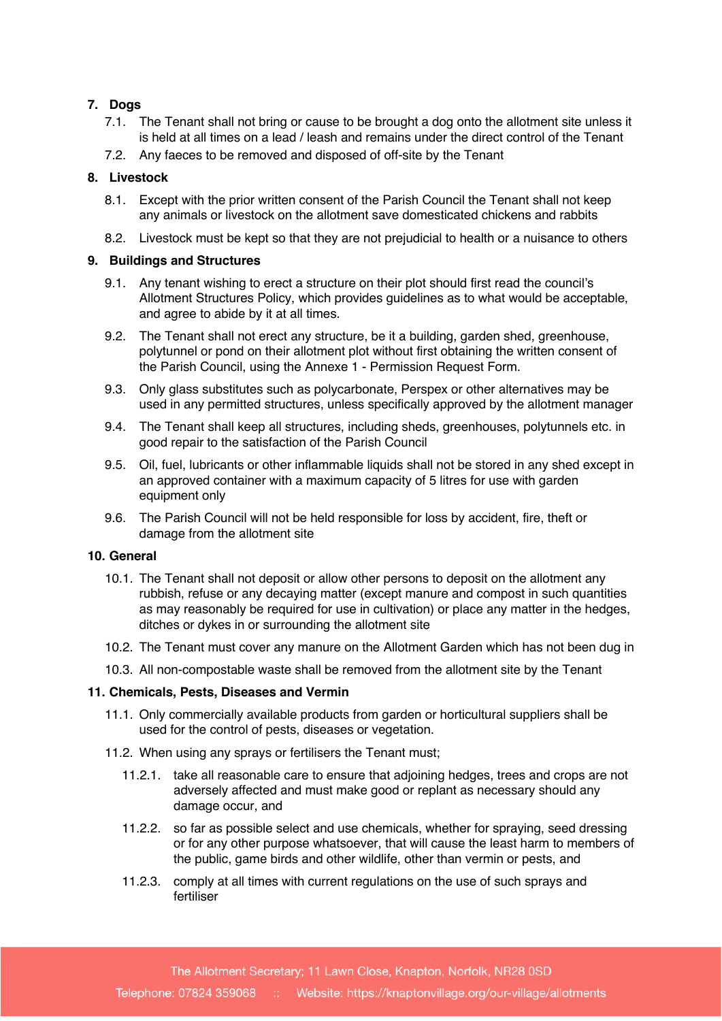# **7. Dogs**

- 7.1. The Tenant shall not bring or cause to be brought a dog onto the allotment site unless it is held at all times on a lead / leash and remains under the direct control of the Tenant
- 7.2. Any faeces to be removed and disposed of off-site by the Tenant

# **8. Livestock**

- 8.1. Except with the prior written consent of the Parish Council the Tenant shall not keep any animals or livestock on the allotment save domesticated chickens and rabbits
- 8.2. Livestock must be kept so that they are not prejudicial to health or a nuisance to others

## **9. Buildings and Structures**

- 9.1. Any tenant wishing to erect a structure on their plot should first read the council's Allotment Structures Policy, which provides guidelines as to what would be acceptable, and agree to abide by it at all times.
- 9.2. The Tenant shall not erect any structure, be it a building, garden shed, greenhouse, polytunnel or pond on their allotment plot without first obtaining the written consent of the Parish Council, using the Annexe 1 - Permission Request Form.
- 9.3. Only glass substitutes such as polycarbonate, Perspex or other alternatives may be used in any permitted structures, unless specifically approved by the allotment manager
- 9.4. The Tenant shall keep all structures, including sheds, greenhouses, polytunnels etc. in good repair to the satisfaction of the Parish Council
- 9.5. Oil, fuel, lubricants or other inflammable liquids shall not be stored in any shed except in an approved container with a maximum capacity of 5 litres for use with garden equipment only
- 9.6. The Parish Council will not be held responsible for loss by accident, fire, theft or damage from the allotment site

#### **10. General**

- 10.1. The Tenant shall not deposit or allow other persons to deposit on the allotment any rubbish, refuse or any decaying matter (except manure and compost in such quantities as may reasonably be required for use in cultivation) or place any matter in the hedges, ditches or dykes in or surrounding the allotment site
- 10.2. The Tenant must cover any manure on the Allotment Garden which has not been dug in
- 10.3. All non-compostable waste shall be removed from the allotment site by the Tenant

#### **11. Chemicals, Pests, Diseases and Vermin**

- 11.1. Only commercially available products from garden or horticultural suppliers shall be used for the control of pests, diseases or vegetation.
- 11.2. When using any sprays or fertilisers the Tenant must;
	- 11.2.1. take all reasonable care to ensure that adjoining hedges, trees and crops are not adversely affected and must make good or replant as necessary should any damage occur, and
	- 11.2.2. so far as possible select and use chemicals, whether for spraying, seed dressing or for any other purpose whatsoever, that will cause the least harm to members of the public, game birds and other wildlife, other than vermin or pests, and
	- 11.2.3. comply at all times with current regulations on the use of such sprays and fertiliser